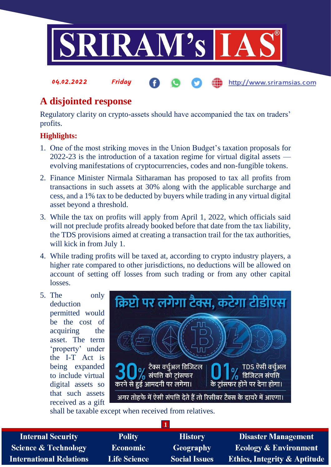

http://www.sriramsias.com

## **A disjointed response**

04.02.2022 Friday

Regulatory clarity on crypto-assets should have accompanied the tax on traders' profits.

## **Highlights:**

- 1. One of the most striking moves in the Union Budget's taxation proposals for 2022-23 is the introduction of a taxation regime for virtual digital assets evolving manifestations of cryptocurrencies, codes and non-fungible tokens.
- 2. Finance Minister Nirmala Sitharaman has proposed to tax all profits from transactions in such assets at 30% along with the applicable surcharge and cess, and a 1% tax to be deducted by buyers while trading in any virtual digital asset beyond a threshold.
- 3. While the tax on profits will apply from April 1, 2022, which officials said will not preclude profits already booked before that date from the tax liability, the TDS provisions aimed at creating a transaction trail for the tax authorities, will kick in from July 1.
- 4. While trading profits will be taxed at, according to crypto industry players, a higher rate compared to other jurisdictions, no deductions will be allowed on account of setting off losses from such trading or from any other capital losses.
- 5. The only deduction permitted would be the cost of acquiring the asset. The term 'property' under the I-T Act is being expanded to include virtual digital assets so that such assets received as a gift



shall be taxable except when received from relatives.

| <b>Internal Security</b>        | <b>Polity</b>       | <b>History</b>       | <b>Disaster Management</b>       |  |  |
|---------------------------------|---------------------|----------------------|----------------------------------|--|--|
| <b>Science &amp; Technology</b> | <b>Economic</b>     | Geography            | <b>Ecology &amp; Environment</b> |  |  |
| <b>International Relations</b>  | <b>Life Science</b> | <b>Social Issues</b> | Ethics, Integrity & Aptitude     |  |  |

**1**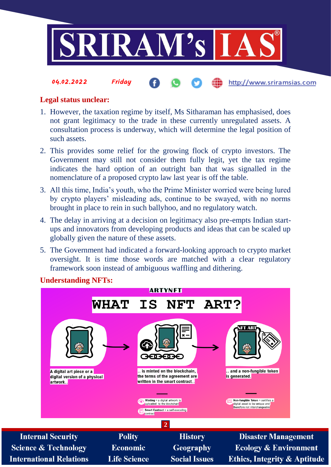

## **Legal status unclear:**

04.02.2022 Friday

- 1. However, the taxation regime by itself, Ms Sitharaman has emphasised, does not grant legitimacy to the trade in these currently unregulated assets. A consultation process is underway, which will determine the legal position of such assets.
- 2. This provides some relief for the growing flock of crypto investors. The Government may still not consider them fully legit, yet the tax regime indicates the hard option of an outright ban that was signalled in the nomenclature of a proposed crypto law last year is off the table.
- 3. All this time, India's youth, who the Prime Minister worried were being lured by crypto players' misleading ads, continue to be swayed, with no norms brought in place to rein in such ballyhoo, and no regulatory watch.
- 4. The delay in arriving at a decision on legitimacy also pre-empts Indian startups and innovators from developing products and ideas that can be scaled up globally given the nature of these assets.
- 5. The Government had indicated a forward-looking approach to crypto market oversight. It is time those words are matched with a clear regulatory framework soon instead of ambiguous waffling and dithering.



## **Understanding NFTs:**

**Internal Security Science & Technology International Relations** 

**Life Science** 

**Geography Social Issues** 

**Ecology & Environment Ethics, Integrity & Aptitude** 

http://www.sriramsias.com